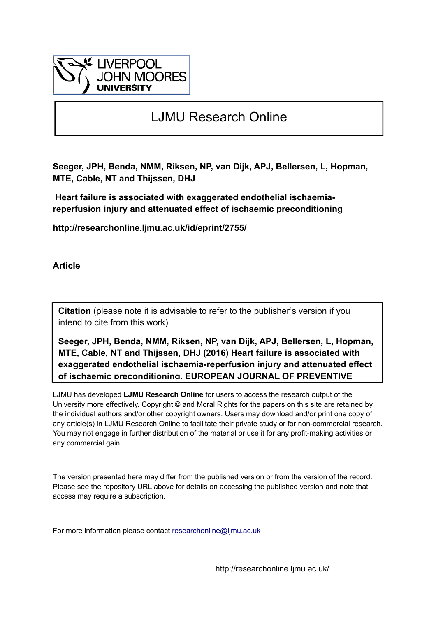

# LJMU Research Online

**Seeger, JPH, Benda, NMM, Riksen, NP, van Dijk, APJ, Bellersen, L, Hopman, MTE, Cable, NT and Thijssen, DHJ**

 **Heart failure is associated with exaggerated endothelial ischaemiareperfusion injury and attenuated effect of ischaemic preconditioning**

**http://researchonline.ljmu.ac.uk/id/eprint/2755/**

**Article**

**Citation** (please note it is advisable to refer to the publisher's version if you intend to cite from this work)

**Seeger, JPH, Benda, NMM, Riksen, NP, van Dijk, APJ, Bellersen, L, Hopman, MTE, Cable, NT and Thijssen, DHJ (2016) Heart failure is associated with exaggerated endothelial ischaemia-reperfusion injury and attenuated effect of ischaemic preconditioning. EUROPEAN JOURNAL OF PREVENTIVE** 

LJMU has developed **[LJMU Research Online](http://researchonline.ljmu.ac.uk/)** for users to access the research output of the University more effectively. Copyright © and Moral Rights for the papers on this site are retained by the individual authors and/or other copyright owners. Users may download and/or print one copy of any article(s) in LJMU Research Online to facilitate their private study or for non-commercial research. You may not engage in further distribution of the material or use it for any profit-making activities or any commercial gain.

The version presented here may differ from the published version or from the version of the record. Please see the repository URL above for details on accessing the published version and note that access may require a subscription.

For more information please contact researchonline@limu.ac.uk

http://researchonline.ljmu.ac.uk/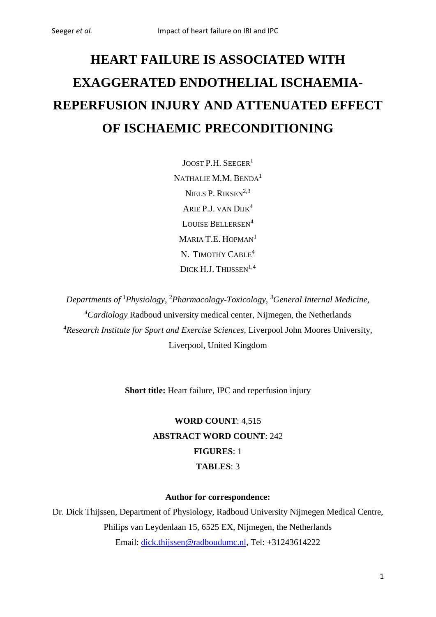# **HEART FAILURE IS ASSOCIATED WITH EXAGGERATED ENDOTHELIAL ISCHAEMIA-REPERFUSION INJURY AND ATTENUATED EFFECT OF ISCHAEMIC PRECONDITIONING**

JOOST P.H. SEEGER<sup>1</sup> NATHALIE M.M. BENDA<sup>1</sup> NIELS P. RIKSEN<sup>2,3</sup> ARIE P.J. VAN DIJK4 LOUISE BELLERSEN<sup>4</sup> MARIA T.E. HOPMAN<sup>1</sup> N. TIMOTHY CABLE<sup>4</sup> DICK H.J. THUSSEN $^{1,4}$ 

*Departments of* <sup>1</sup> *Physiology,* <sup>2</sup> *Pharmacology-Toxicology, <sup>3</sup> General Internal Medicine, 4 Cardiology* Radboud university medical center, Nijmegen, the Netherlands 4 *Research Institute for Sport and Exercise Sciences,* Liverpool John Moores University, Liverpool, United Kingdom

**Short title:** Heart failure, IPC and reperfusion injury

**WORD COUNT**: 4,515 **ABSTRACT WORD COUNT**: 242 **FIGURES**: 1 **TABLES**: 3

# **Author for correspondence:**

Dr. Dick Thijssen, Department of Physiology, Radboud University Nijmegen Medical Centre, Philips van Leydenlaan 15, 6525 EX, Nijmegen, the Netherlands Email: [dick.thijssen@radboudumc.nl,](mailto:dick.thijssen@radboudumc.nl) Tel: +31243614222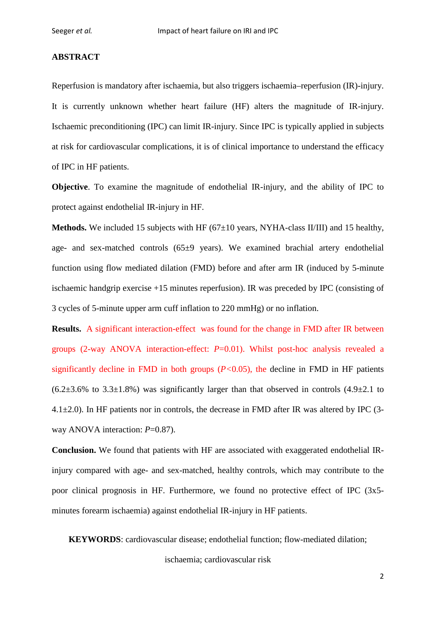# **ABSTRACT**

Reperfusion is mandatory after ischaemia, but also triggers ischaemia–reperfusion (IR)-injury. It is currently unknown whether heart failure (HF) alters the magnitude of IR-injury. Ischaemic preconditioning (IPC) can limit IR-injury. Since IPC is typically applied in subjects at risk for cardiovascular complications, it is of clinical importance to understand the efficacy of IPC in HF patients.

**Objective**. To examine the magnitude of endothelial IR-injury, and the ability of IPC to protect against endothelial IR-injury in HF.

**Methods.** We included 15 subjects with HF (67±10 years, NYHA-class II/III) and 15 healthy, age- and sex-matched controls (65±9 years). We examined brachial artery endothelial function using flow mediated dilation (FMD) before and after arm IR (induced by 5-minute ischaemic handgrip exercise +15 minutes reperfusion). IR was preceded by IPC (consisting of 3 cycles of 5-minute upper arm cuff inflation to 220 mmHg) or no inflation.

**Results.** A significant interaction-effect was found for the change in FMD after IR between groups (2-way ANOVA interaction-effect: *P*=0.01). Whilst post-hoc analysis revealed a significantly decline in FMD in both groups (*P<*0.05), the decline in FMD in HF patients  $(6.2\pm3.6\%$  to  $3.3\pm1.8\%)$  was significantly larger than that observed in controls  $(4.9\pm2.1)$  to 4.1±2.0). In HF patients nor in controls, the decrease in FMD after IR was altered by IPC (3 way ANOVA interaction: *P*=0.87).

**Conclusion.** We found that patients with HF are associated with exaggerated endothelial IRinjury compared with age- and sex-matched, healthy controls, which may contribute to the poor clinical prognosis in HF. Furthermore, we found no protective effect of IPC (3x5 minutes forearm ischaemia) against endothelial IR-injury in HF patients.

**KEYWORDS**: cardiovascular disease; endothelial function; flow-mediated dilation;

ischaemia; cardiovascular risk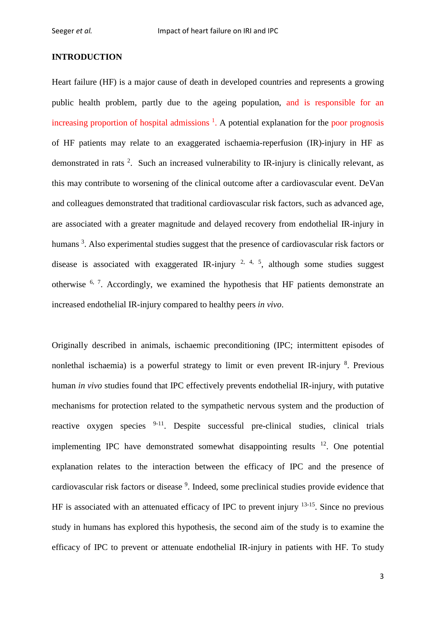## **INTRODUCTION**

Heart failure (HF) is a major cause of death in developed countries and represents a growing public health problem, partly due to the ageing population, and is responsible for an increasing proportion of hospital admissions<sup>[1](#page-14-0)</sup>. A potential explanation for the poor prognosis of HF patients may relate to an exaggerated ischaemia-reperfusion (IR)-injury in HF as demonstrated in rats <sup>[2](#page-14-1)</sup>. Such an increased vulnerability to IR-injury is clinically relevant, as this may contribute to worsening of the clinical outcome after a cardiovascular event. DeVan and colleagues demonstrated that traditional cardiovascular risk factors, such as advanced age, are associated with a greater magnitude and delayed recovery from endothelial IR-injury in humans<sup>[3](#page-14-2)</sup>. Also experimental studies suggest that the presence of cardiovascular risk factors or disease is associated with exaggerated IR-injury  $2, 4, 5$  $2, 4, 5$  $2, 4, 5$ , although some studies suggest otherwise <sup>[6,](#page-14-5) [7](#page-15-0)</sup>. Accordingly, we examined the hypothesis that HF patients demonstrate an increased endothelial IR-injury compared to healthy peers *in vivo*.

Originally described in animals, ischaemic preconditioning (IPC; intermittent episodes of nonlethal ischaemia) is a powerful strategy to limit or even prevent IR-injury <sup>[8](#page-15-1)</sup>. Previous human *in vivo* studies found that IPC effectively prevents endothelial IR-injury, with putative mechanisms for protection related to the sympathetic nervous system and the production of reactive oxygen species [9-11.](#page-15-2) Despite successful pre-clinical studies, clinical trials implementing IPC have demonstrated somewhat disappointing results  $12$ . One potential explanation relates to the interaction between the efficacy of IPC and the presence of cardiovascular risk factors or disease <sup>[9](#page-15-2)</sup>. Indeed, some preclinical studies provide evidence that HF is associated with an attenuated efficacy of IPC to prevent injury <sup>13-15</sup>. Since no previous study in humans has explored this hypothesis, the second aim of the study is to examine the efficacy of IPC to prevent or attenuate endothelial IR-injury in patients with HF. To study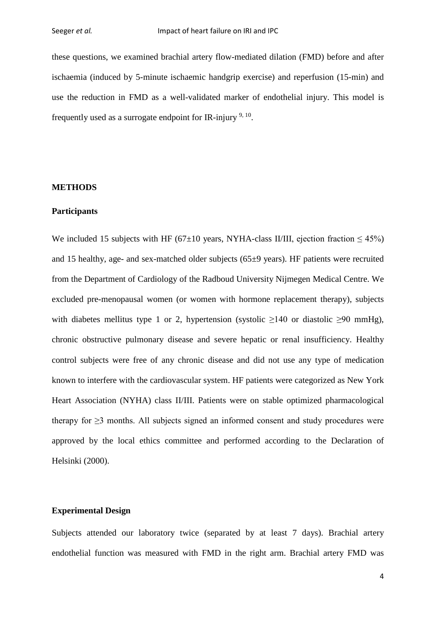these questions, we examined brachial artery flow-mediated dilation (FMD) before and after ischaemia (induced by 5-minute ischaemic handgrip exercise) and reperfusion (15-min) and use the reduction in FMD as a well-validated marker of endothelial injury. This model is frequently used as a surrogate endpoint for IR-injury  $9,10$  $9,10$ .

#### **METHODS**

#### **Participants**

We included 15 subjects with HF (67 $\pm$ 10 years, NYHA-class II/III, ejection fraction < 45%) and 15 healthy, age- and sex-matched older subjects (65±9 years). HF patients were recruited from the Department of Cardiology of the Radboud University Nijmegen Medical Centre. We excluded pre-menopausal women (or women with hormone replacement therapy), subjects with diabetes mellitus type 1 or 2, hypertension (systolic  $>140$  or diastolic  $>90$  mmHg), chronic obstructive pulmonary disease and severe hepatic or renal insufficiency. Healthy control subjects were free of any chronic disease and did not use any type of medication known to interfere with the cardiovascular system. HF patients were categorized as New York Heart Association (NYHA) class II/III. Patients were on stable optimized pharmacological therapy for  $\geq$ 3 months. All subjects signed an informed consent and study procedures were approved by the local ethics committee and performed according to the Declaration of Helsinki (2000).

# **Experimental Design**

Subjects attended our laboratory twice (separated by at least 7 days). Brachial artery endothelial function was measured with FMD in the right arm. Brachial artery FMD was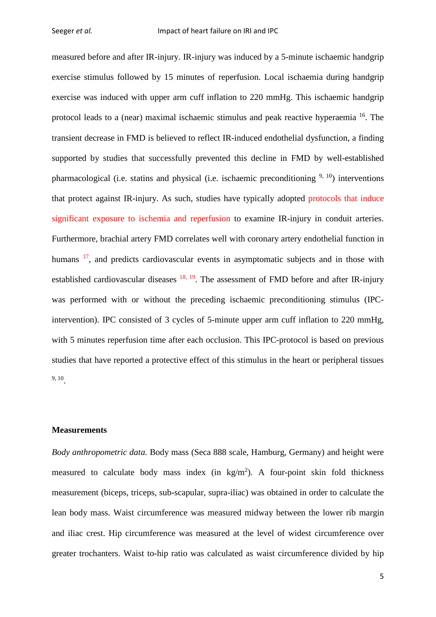measured before and after IR-injury. IR-injury was induced by a 5-minute ischaemic handgrip exercise stimulus followed by 15 minutes of reperfusion. Local ischaemia during handgrip exercise was induced with upper arm cuff inflation to 220 mmHg. This ischaemic handgrip protocol leads to a (near) maximal ischaemic stimulus and peak reactive hyperaemia [16.](#page-16-0) The transient decrease in FMD is believed to reflect IR-induced endothelial dysfunction, a finding supported by studies that successfully prevented this decline in FMD by well-established pharmacological (i.e. statins and physical (i.e. ischaemic preconditioning  $9, 10$  $9, 10$ ) interventions that protect against IR-injury. As such, studies have typically adopted protocols that induce significant exposure to ischemia and reperfusion to examine IR-injury in conduit arteries. Furthermore, brachial artery FMD correlates well with coronary artery endothelial function in humans <sup>17</sup>, and predicts cardiovascular events in asymptomatic subjects and in those with established cardiovascular diseases  $^{18, 19}$  $^{18, 19}$  $^{18, 19}$ . The assessment of FMD before and after IR-injury was performed with or without the preceding ischaemic preconditioning stimulus (IPCintervention). IPC consisted of 3 cycles of 5-minute upper arm cuff inflation to 220 mmHg, with 5 minutes reperfusion time after each occlusion. This IPC-protocol is based on previous studies that have reported a protective effect of this stimulus in the heart or peripheral tissues [9,](#page-15-2) [10.](#page-15-5)

## **Measurements**

*Body anthropometric data.* Body mass (Seca 888 scale, Hamburg, Germany) and height were measured to calculate body mass index (in  $\text{kg/m}^2$ ). A four-point skin fold thickness measurement (biceps, triceps, sub-scapular, supra-iliac) was obtained in order to calculate the lean body mass. Waist circumference was measured midway between the lower rib margin and iliac crest. Hip circumference was measured at the level of widest circumference over greater trochanters. Waist to-hip ratio was calculated as waist circumference divided by hip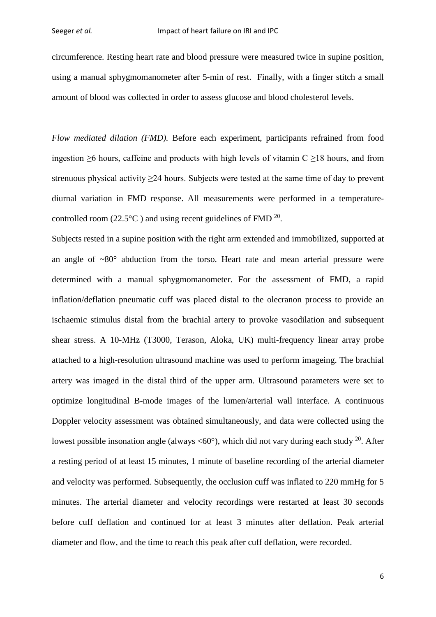circumference. Resting heart rate and blood pressure were measured twice in supine position, using a manual sphygmomanometer after 5-min of rest. Finally, with a finger stitch a small amount of blood was collected in order to assess glucose and blood cholesterol levels.

*Flow mediated dilation (FMD).* Before each experiment, participants refrained from food ingestion  $>6$  hours, caffeine and products with high levels of vitamin  $C > 18$  hours, and from strenuous physical activity  $\geq$ 24 hours. Subjects were tested at the same time of day to prevent diurnal variation in FMD response. All measurements were performed in a temperaturecontrolled room (22.5 $^{\circ}$ C) and using recent guidelines of FMD  $^{20}$ .

Subjects rested in a supine position with the right arm extended and immobilized, supported at an angle of  $\sim 80^\circ$  abduction from the torso. Heart rate and mean arterial pressure were determined with a manual sphygmomanometer. For the assessment of FMD, a rapid inflation/deflation pneumatic cuff was placed distal to the olecranon process to provide an ischaemic stimulus distal from the brachial artery to provoke vasodilation and subsequent shear stress. A 10-MHz (T3000, Terason, Aloka, UK) multi-frequency linear array probe attached to a high-resolution ultrasound machine was used to perform imageing. The brachial artery was imaged in the distal third of the upper arm. Ultrasound parameters were set to optimize longitudinal B-mode images of the lumen/arterial wall interface. A continuous Doppler velocity assessment was obtained simultaneously, and data were collected using the lowest possible insonation angle (always  $\langle 60^\circ \rangle$ ), which did not vary during each study <sup>20</sup>. After a resting period of at least 15 minutes, 1 minute of baseline recording of the arterial diameter and velocity was performed. Subsequently, the occlusion cuff was inflated to 220 mmHg for 5 minutes. The arterial diameter and velocity recordings were restarted at least 30 seconds before cuff deflation and continued for at least 3 minutes after deflation. Peak arterial diameter and flow, and the time to reach this peak after cuff deflation, were recorded.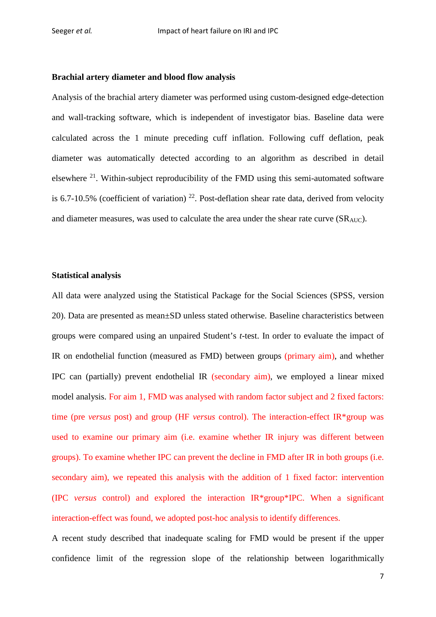#### **Brachial artery diameter and blood flow analysis**

Analysis of the brachial artery diameter was performed using custom-designed edge-detection and wall-tracking software, which is independent of investigator bias. Baseline data were calculated across the 1 minute preceding cuff inflation. Following cuff deflation, peak diameter was automatically detected according to an algorithm as described in detail elsewhere  $21$ . Within-subject reproducibility of the FMD using this semi-automated software is 6.7-10.5% (coefficient of variation)  $^{22}$ . Post-deflation shear rate data, derived from velocity and diameter measures, was used to calculate the area under the shear rate curve (SRAUC).

#### **Statistical analysis**

All data were analyzed using the Statistical Package for the Social Sciences (SPSS, version 20). Data are presented as mean±SD unless stated otherwise. Baseline characteristics between groups were compared using an unpaired Student's *t*-test. In order to evaluate the impact of IR on endothelial function (measured as FMD) between groups (primary aim), and whether IPC can (partially) prevent endothelial IR (secondary aim), we employed a linear mixed model analysis. For aim 1, FMD was analysed with random factor subject and 2 fixed factors: time (pre *versus* post) and group (HF *versus* control). The interaction-effect IR\*group was used to examine our primary aim (i.e. examine whether IR injury was different between groups). To examine whether IPC can prevent the decline in FMD after IR in both groups (i.e. secondary aim), we repeated this analysis with the addition of 1 fixed factor: intervention (IPC *versus* control) and explored the interaction IR\*group\*IPC. When a significant interaction-effect was found, we adopted post-hoc analysis to identify differences.

A recent study described that inadequate scaling for FMD would be present if the upper confidence limit of the regression slope of the relationship between logarithmically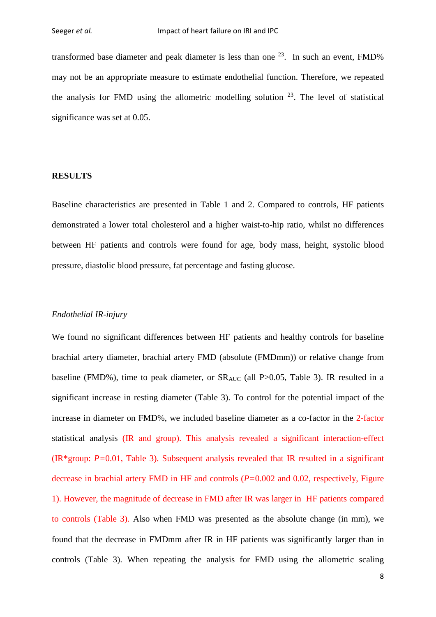transformed base diameter and peak diameter is less than one  $^{23}$ . In such an event, FMD% may not be an appropriate measure to estimate endothelial function. Therefore, we repeated the analysis for FMD using the allometric modelling solution  $2<sup>3</sup>$ . The level of statistical significance was set at 0.05.

# **RESULTS**

Baseline characteristics are presented in Table 1 and 2. Compared to controls, HF patients demonstrated a lower total cholesterol and a higher waist-to-hip ratio, whilst no differences between HF patients and controls were found for age, body mass, height, systolic blood pressure, diastolic blood pressure, fat percentage and fasting glucose.

#### *Endothelial IR-injury*

We found no significant differences between HF patients and healthy controls for baseline brachial artery diameter, brachial artery FMD (absolute (FMDmm)) or relative change from baseline (FMD%), time to peak diameter, or  $SR_{AUC}$  (all P>0.05, Table 3). IR resulted in a significant increase in resting diameter (Table 3). To control for the potential impact of the increase in diameter on FMD%, we included baseline diameter as a co-factor in the 2-factor statistical analysis (IR and group). This analysis revealed a significant interaction-effect (IR\*group: *P=*0.01, Table 3). Subsequent analysis revealed that IR resulted in a significant decrease in brachial artery FMD in HF and controls (*P=*0.002 and 0.02, respectively, Figure 1). However, the magnitude of decrease in FMD after IR was larger in HF patients compared to controls (Table 3). Also when FMD was presented as the absolute change (in mm), we found that the decrease in FMDmm after IR in HF patients was significantly larger than in controls (Table 3). When repeating the analysis for FMD using the allometric scaling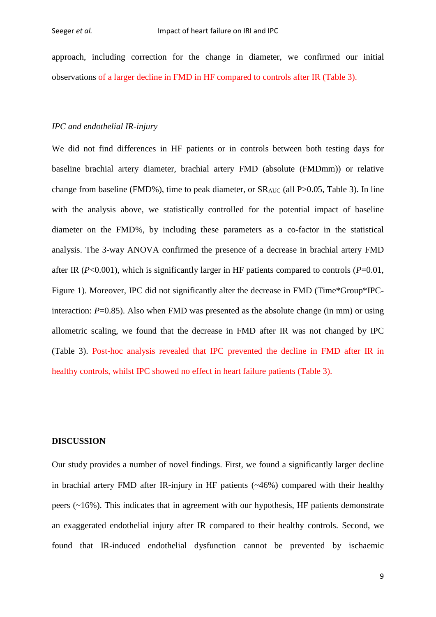approach, including correction for the change in diameter, we confirmed our initial observations of a larger decline in FMD in HF compared to controls after IR (Table 3).

# *IPC and endothelial IR-injury*

We did not find differences in HF patients or in controls between both testing days for baseline brachial artery diameter, brachial artery FMD (absolute (FMDmm)) or relative change from baseline (FMD%), time to peak diameter, or  $SR<sub>AUC</sub>$  (all P $> 0.05$ , Table 3). In line with the analysis above, we statistically controlled for the potential impact of baseline diameter on the FMD%, by including these parameters as a co-factor in the statistical analysis. The 3-way ANOVA confirmed the presence of a decrease in brachial artery FMD after IR (*P*<0.001), which is significantly larger in HF patients compared to controls (*P*=0.01, Figure 1). Moreover, IPC did not significantly alter the decrease in FMD (Time\*Group\*IPCinteraction:  $P=0.85$ ). Also when FMD was presented as the absolute change (in mm) or using allometric scaling, we found that the decrease in FMD after IR was not changed by IPC (Table 3). Post-hoc analysis revealed that IPC prevented the decline in FMD after IR in healthy controls, whilst IPC showed no effect in heart failure patients (Table 3).

# **DISCUSSION**

Our study provides a number of novel findings. First, we found a significantly larger decline in brachial artery FMD after IR-injury in HF patients (~46%) compared with their healthy peers (~16%). This indicates that in agreement with our hypothesis, HF patients demonstrate an exaggerated endothelial injury after IR compared to their healthy controls. Second, we found that IR-induced endothelial dysfunction cannot be prevented by ischaemic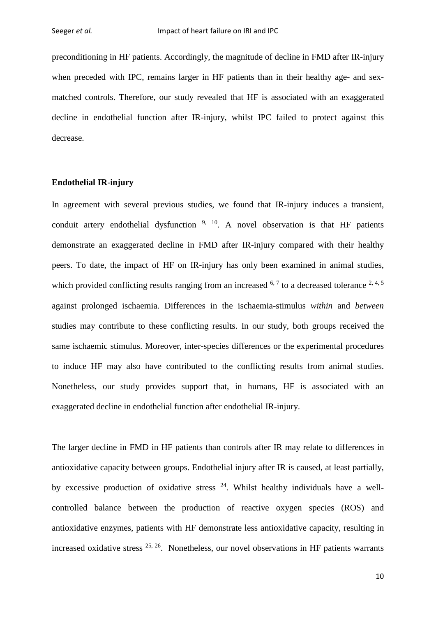preconditioning in HF patients. Accordingly, the magnitude of decline in FMD after IR-injury when preceded with IPC, remains larger in HF patients than in their healthy age- and sexmatched controls. Therefore, our study revealed that HF is associated with an exaggerated decline in endothelial function after IR-injury, whilst IPC failed to protect against this decrease.

# **Endothelial IR-injury**

In agreement with several previous studies, we found that IR-injury induces a transient, conduit artery endothelial dysfunction <sup>[9,](#page-15-2) 10</sup>. A novel observation is that HF patients demonstrate an exaggerated decline in FMD after IR-injury compared with their healthy peers. To date, the impact of HF on IR-injury has only been examined in animal studies, which provided conflicting results ranging from an increased  $6, 7$  $6, 7$  to a decreased tolerance  $2, 4, 5$  $2, 4, 5$  $2, 4, 5$ against prolonged ischaemia. Differences in the ischaemia-stimulus *within* and *between* studies may contribute to these conflicting results. In our study, both groups received the same ischaemic stimulus. Moreover, inter-species differences or the experimental procedures to induce HF may also have contributed to the conflicting results from animal studies. Nonetheless, our study provides support that, in humans, HF is associated with an exaggerated decline in endothelial function after endothelial IR-injury.

The larger decline in FMD in HF patients than controls after IR may relate to differences in antioxidative capacity between groups. Endothelial injury after IR is caused, at least partially, by excessive production of oxidative stress  $24$ . Whilst healthy individuals have a wellcontrolled balance between the production of reactive oxygen species (ROS) and antioxidative enzymes, patients with HF demonstrate less antioxidative capacity, resulting in increased oxidative stress  $^{25, 26}$  $^{25, 26}$  $^{25, 26}$ . Nonetheless, our novel observations in HF patients warrants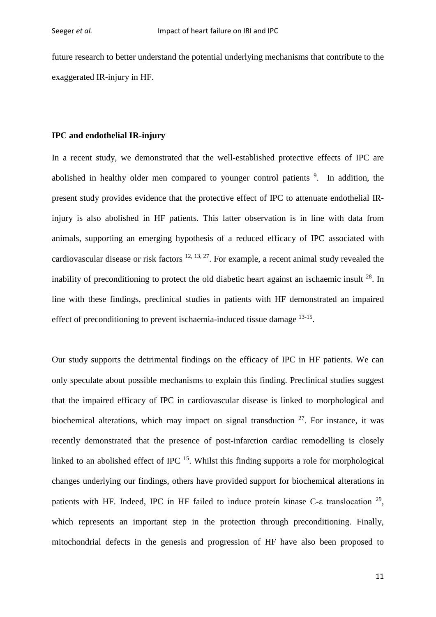future research to better understand the potential underlying mechanisms that contribute to the exaggerated IR-injury in HF.

#### **IPC and endothelial IR-injury**

In a recent study, we demonstrated that the well-established protective effects of IPC are abolished in healthy older men compared to younger control patients <sup>[9](#page-15-2)</sup>. In addition, the present study provides evidence that the protective effect of IPC to attenuate endothelial IRinjury is also abolished in HF patients. This latter observation is in line with data from animals, supporting an emerging hypothesis of a reduced efficacy of IPC associated with cardiovascular disease or risk factors  $12, 13, 27$  $12, 13, 27$  $12, 13, 27$ . For example, a recent animal study revealed the inability of preconditioning to protect the old diabetic heart against an ischaemic insult  $^{28}$ . In line with these findings, preclinical studies in patients with HF demonstrated an impaired effect of preconditioning to prevent ischaemia-induced tissue damage <sup>13-15</sup>.

Our study supports the detrimental findings on the efficacy of IPC in HF patients. We can only speculate about possible mechanisms to explain this finding. Preclinical studies suggest that the impaired efficacy of IPC in cardiovascular disease is linked to morphological and biochemical alterations, which may impact on signal transduction  $27$ . For instance, it was recently demonstrated that the presence of post-infarction cardiac remodelling is closely linked to an abolished effect of IPC  $^{15}$ . Whilst this finding supports a role for morphological changes underlying our findings, others have provided support for biochemical alterations in patients with HF. Indeed, IPC in HF failed to induce protein kinase C- $\epsilon$  translocation <sup>29</sup>, which represents an important step in the protection through preconditioning. Finally, mitochondrial defects in the genesis and progression of HF have also been proposed to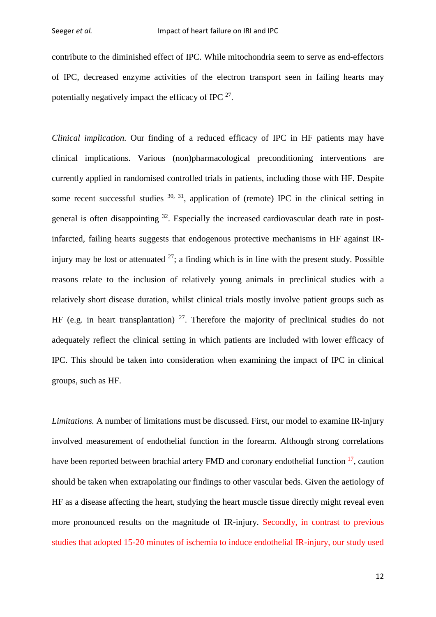contribute to the diminished effect of IPC. While mitochondria seem to serve as end-effectors of IPC, decreased enzyme activities of the electron transport seen in failing hearts may potentially negatively impact the efficacy of IPC [27.](#page-17-3)

*Clinical implication.* Our finding of a reduced efficacy of IPC in HF patients may have clinical implications. Various (non)pharmacological preconditioning interventions are currently applied in randomised controlled trials in patients, including those with HF. Despite some recent successful studies  $30, 31$  $30, 31$ , application of (remote) IPC in the clinical setting in general is often disappointing  $32$ . Especially the increased cardiovascular death rate in postinfarcted, failing hearts suggests that endogenous protective mechanisms in HF against IRinjury may be lost or attenuated  $27$ ; a finding which is in line with the present study. Possible reasons relate to the inclusion of relatively young animals in preclinical studies with a relatively short disease duration, whilst clinical trials mostly involve patient groups such as HF (e.g. in heart transplantation)  $27$ . Therefore the majority of preclinical studies do not adequately reflect the clinical setting in which patients are included with lower efficacy of IPC. This should be taken into consideration when examining the impact of IPC in clinical groups, such as HF.

*Limitations.* A number of limitations must be discussed. First, our model to examine IR-injury involved measurement of endothelial function in the forearm. Although strong correlations have been reported between brachial artery FMD and coronary endothelial function <sup>17</sup>, caution should be taken when extrapolating our findings to other vascular beds. Given the aetiology of HF as a disease affecting the heart, studying the heart muscle tissue directly might reveal even more pronounced results on the magnitude of IR-injury. Secondly, in contrast to previous studies that adopted 15-20 minutes of ischemia to induce endothelial IR-injury, our study used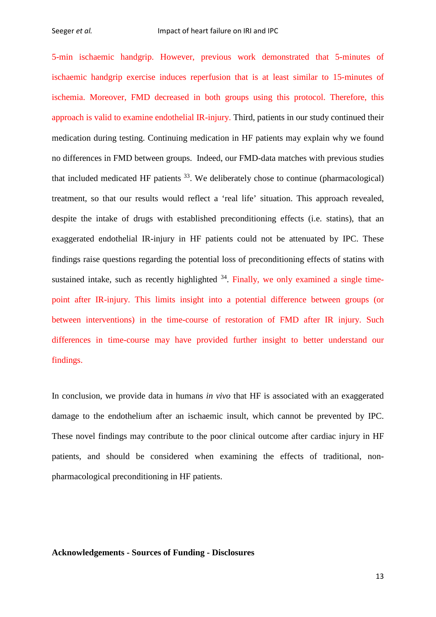5-min ischaemic handgrip. However, previous work demonstrated that 5-minutes of ischaemic handgrip exercise induces reperfusion that is at least similar to 15-minutes of ischemia. Moreover, FMD decreased in both groups using this protocol. Therefore, this approach is valid to examine endothelial IR-injury. Third, patients in our study continued their medication during testing. Continuing medication in HF patients may explain why we found no differences in FMD between groups. Indeed, our FMD-data matches with previous studies that included medicated HF patients  $33$ . We deliberately chose to continue (pharmacological) treatment, so that our results would reflect a 'real life' situation. This approach revealed, despite the intake of drugs with established preconditioning effects (i.e. statins), that an exaggerated endothelial IR-injury in HF patients could not be attenuated by IPC. These findings raise questions regarding the potential loss of preconditioning effects of statins with sustained intake, such as recently highlighted  $34$ . Finally, we only examined a single timepoint after IR-injury. This limits insight into a potential difference between groups (or between interventions) in the time-course of restoration of FMD after IR injury. Such differences in time-course may have provided further insight to better understand our findings.

In conclusion, we provide data in humans *in vivo* that HF is associated with an exaggerated damage to the endothelium after an ischaemic insult, which cannot be prevented by IPC. These novel findings may contribute to the poor clinical outcome after cardiac injury in HF patients, and should be considered when examining the effects of traditional, nonpharmacological preconditioning in HF patients.

# **Acknowledgements - Sources of Funding - Disclosures**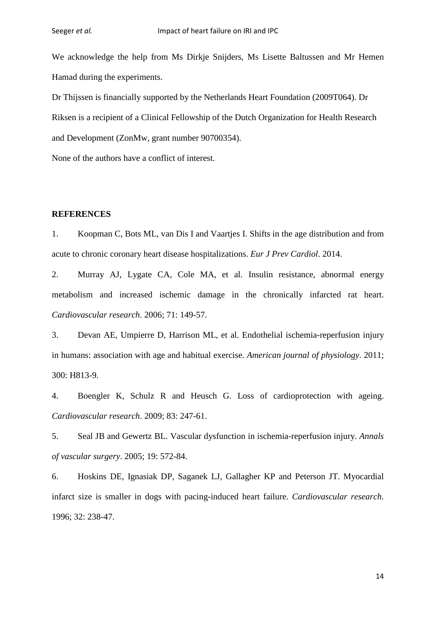We acknowledge the help from Ms Dirkje Snijders, Ms Lisette Baltussen and Mr Hemen Hamad during the experiments.

Dr Thijssen is financially supported by the Netherlands Heart Foundation (2009T064). Dr Riksen is a recipient of a Clinical Fellowship of the Dutch Organization for Health Research and Development (ZonMw, grant number 90700354).

None of the authors have a conflict of interest.

#### **REFERENCES**

<span id="page-14-0"></span>1. Koopman C, Bots ML, van Dis I and Vaartjes I. Shifts in the age distribution and from acute to chronic coronary heart disease hospitalizations. *Eur J Prev Cardiol*. 2014.

<span id="page-14-1"></span>2. Murray AJ, Lygate CA, Cole MA, et al. Insulin resistance, abnormal energy metabolism and increased ischemic damage in the chronically infarcted rat heart. *Cardiovascular research*. 2006; 71: 149-57.

<span id="page-14-2"></span>3. Devan AE, Umpierre D, Harrison ML, et al. Endothelial ischemia-reperfusion injury in humans: association with age and habitual exercise. *American journal of physiology*. 2011; 300: H813-9.

<span id="page-14-3"></span>4. Boengler K, Schulz R and Heusch G. Loss of cardioprotection with ageing. *Cardiovascular research*. 2009; 83: 247-61.

<span id="page-14-4"></span>5. Seal JB and Gewertz BL. Vascular dysfunction in ischemia-reperfusion injury. *Annals of vascular surgery*. 2005; 19: 572-84.

<span id="page-14-5"></span>6. Hoskins DE, Ignasiak DP, Saganek LJ, Gallagher KP and Peterson JT. Myocardial infarct size is smaller in dogs with pacing-induced heart failure. *Cardiovascular research*. 1996; 32: 238-47.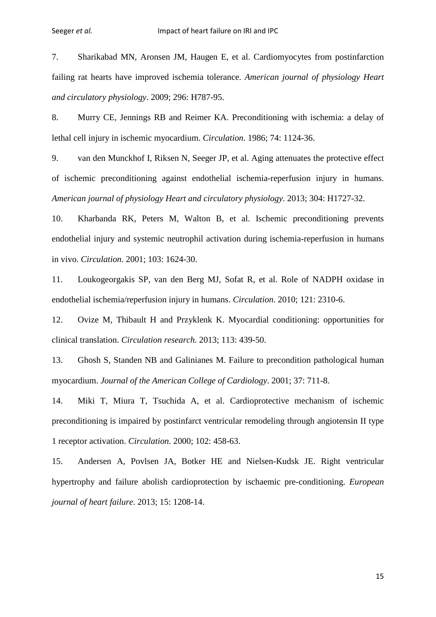<span id="page-15-0"></span>7. Sharikabad MN, Aronsen JM, Haugen E, et al. Cardiomyocytes from postinfarction failing rat hearts have improved ischemia tolerance. *American journal of physiology Heart and circulatory physiology*. 2009; 296: H787-95.

<span id="page-15-1"></span>8. Murry CE, Jennings RB and Reimer KA. Preconditioning with ischemia: a delay of lethal cell injury in ischemic myocardium. *Circulation*. 1986; 74: 1124-36.

<span id="page-15-2"></span>9. van den Munckhof I, Riksen N, Seeger JP, et al. Aging attenuates the protective effect of ischemic preconditioning against endothelial ischemia-reperfusion injury in humans. *American journal of physiology Heart and circulatory physiology*. 2013; 304: H1727-32.

<span id="page-15-5"></span>10. Kharbanda RK, Peters M, Walton B, et al. Ischemic preconditioning prevents endothelial injury and systemic neutrophil activation during ischemia-reperfusion in humans in vivo. *Circulation*. 2001; 103: 1624-30.

11. Loukogeorgakis SP, van den Berg MJ, Sofat R, et al. Role of NADPH oxidase in endothelial ischemia/reperfusion injury in humans. *Circulation*. 2010; 121: 2310-6.

<span id="page-15-3"></span>12. Ovize M, Thibault H and Przyklenk K. Myocardial conditioning: opportunities for clinical translation. *Circulation research*. 2013; 113: 439-50.

<span id="page-15-4"></span>13. Ghosh S, Standen NB and Galinianes M. Failure to precondition pathological human myocardium. *Journal of the American College of Cardiology*. 2001; 37: 711-8.

14. Miki T, Miura T, Tsuchida A, et al. Cardioprotective mechanism of ischemic preconditioning is impaired by postinfarct ventricular remodeling through angiotensin II type 1 receptor activation. *Circulation*. 2000; 102: 458-63.

<span id="page-15-6"></span>15. Andersen A, Povlsen JA, Botker HE and Nielsen-Kudsk JE. Right ventricular hypertrophy and failure abolish cardioprotection by ischaemic pre-conditioning. *European journal of heart failure*. 2013; 15: 1208-14.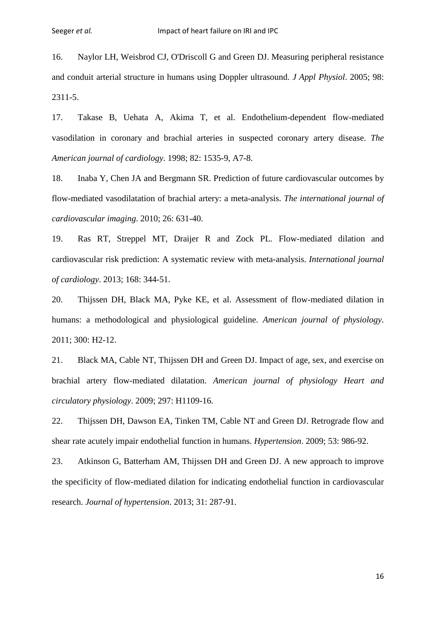<span id="page-16-0"></span>16. Naylor LH, Weisbrod CJ, O'Driscoll G and Green DJ. Measuring peripheral resistance and conduit arterial structure in humans using Doppler ultrasound. *J Appl Physiol*. 2005; 98: 2311-5.

<span id="page-16-1"></span>17. Takase B, Uehata A, Akima T, et al. Endothelium-dependent flow-mediated vasodilation in coronary and brachial arteries in suspected coronary artery disease. *The American journal of cardiology*. 1998; 82: 1535-9, A7-8.

<span id="page-16-2"></span>18. Inaba Y, Chen JA and Bergmann SR. Prediction of future cardiovascular outcomes by flow-mediated vasodilatation of brachial artery: a meta-analysis. *The international journal of cardiovascular imaging*. 2010; 26: 631-40.

<span id="page-16-3"></span>19. Ras RT, Streppel MT, Draijer R and Zock PL. Flow-mediated dilation and cardiovascular risk prediction: A systematic review with meta-analysis. *International journal of cardiology*. 2013; 168: 344-51.

<span id="page-16-4"></span>20. Thijssen DH, Black MA, Pyke KE, et al. Assessment of flow-mediated dilation in humans: a methodological and physiological guideline. *American journal of physiology*. 2011; 300: H2-12.

<span id="page-16-5"></span>21. Black MA, Cable NT, Thijssen DH and Green DJ. Impact of age, sex, and exercise on brachial artery flow-mediated dilatation. *American journal of physiology Heart and circulatory physiology*. 2009; 297: H1109-16.

<span id="page-16-6"></span>22. Thijssen DH, Dawson EA, Tinken TM, Cable NT and Green DJ. Retrograde flow and shear rate acutely impair endothelial function in humans. *Hypertension*. 2009; 53: 986-92.

<span id="page-16-7"></span>23. Atkinson G, Batterham AM, Thijssen DH and Green DJ. A new approach to improve the specificity of flow-mediated dilation for indicating endothelial function in cardiovascular research. *Journal of hypertension*. 2013; 31: 287-91.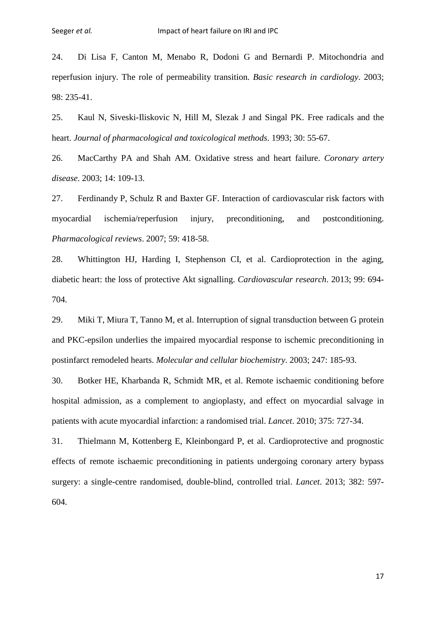<span id="page-17-0"></span>24. Di Lisa F, Canton M, Menabo R, Dodoni G and Bernardi P. Mitochondria and reperfusion injury. The role of permeability transition. *Basic research in cardiology*. 2003; 98: 235-41.

<span id="page-17-1"></span>25. Kaul N, Siveski-Iliskovic N, Hill M, Slezak J and Singal PK. Free radicals and the heart. *Journal of pharmacological and toxicological methods*. 1993; 30: 55-67.

<span id="page-17-2"></span>26. MacCarthy PA and Shah AM. Oxidative stress and heart failure. *Coronary artery disease*. 2003; 14: 109-13.

<span id="page-17-3"></span>27. Ferdinandy P, Schulz R and Baxter GF. Interaction of cardiovascular risk factors with myocardial ischemia/reperfusion injury, preconditioning, and postconditioning. *Pharmacological reviews*. 2007; 59: 418-58.

<span id="page-17-4"></span>28. Whittington HJ, Harding I, Stephenson CI, et al. Cardioprotection in the aging, diabetic heart: the loss of protective Akt signalling. *Cardiovascular research*. 2013; 99: 694- 704.

<span id="page-17-5"></span>29. Miki T, Miura T, Tanno M, et al. Interruption of signal transduction between G protein and PKC-epsilon underlies the impaired myocardial response to ischemic preconditioning in postinfarct remodeled hearts. *Molecular and cellular biochemistry*. 2003; 247: 185-93.

<span id="page-17-6"></span>30. Botker HE, Kharbanda R, Schmidt MR, et al. Remote ischaemic conditioning before hospital admission, as a complement to angioplasty, and effect on myocardial salvage in patients with acute myocardial infarction: a randomised trial. *Lancet*. 2010; 375: 727-34.

<span id="page-17-7"></span>31. Thielmann M, Kottenberg E, Kleinbongard P, et al. Cardioprotective and prognostic effects of remote ischaemic preconditioning in patients undergoing coronary artery bypass surgery: a single-centre randomised, double-blind, controlled trial. *Lancet*. 2013; 382: 597- 604.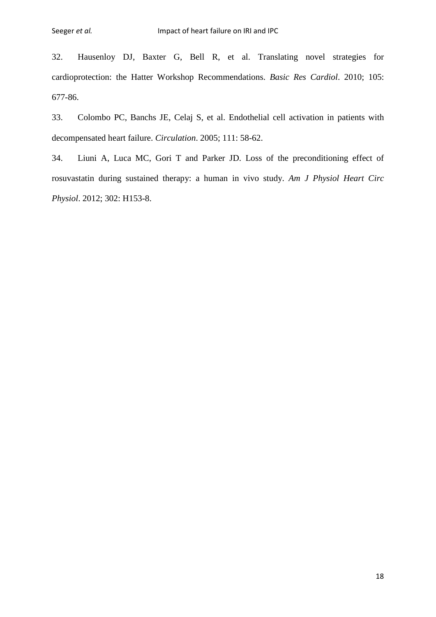<span id="page-18-0"></span>32. Hausenloy DJ, Baxter G, Bell R, et al. Translating novel strategies for cardioprotection: the Hatter Workshop Recommendations. *Basic Res Cardiol*. 2010; 105: 677-86.

<span id="page-18-1"></span>33. Colombo PC, Banchs JE, Celaj S, et al. Endothelial cell activation in patients with decompensated heart failure. *Circulation*. 2005; 111: 58-62.

<span id="page-18-2"></span>34. Liuni A, Luca MC, Gori T and Parker JD. Loss of the preconditioning effect of rosuvastatin during sustained therapy: a human in vivo study. *Am J Physiol Heart Circ Physiol*. 2012; 302: H153-8.